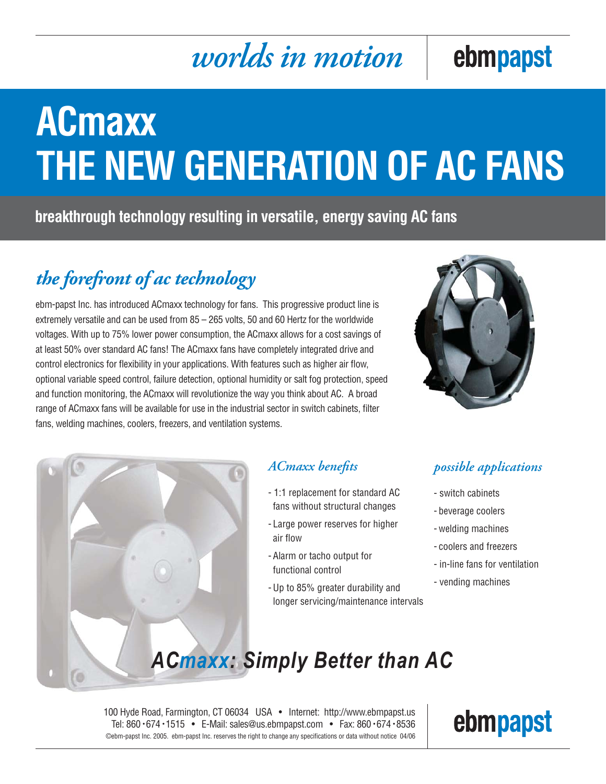# *worlds in motion*

# ebmpapst

# **ACmaxx THE NEW GENERATION OF AC FANS**

**breakthrough technology resulting in versatile, energy saving AC fans**

## *the forefront of ac technology*

ebm-papst Inc. has introduced ACmaxx technology for fans. This progressive product line is extremely versatile and can be used from 85 – 265 volts, 50 and 60 Hertz for the worldwide voltages. With up to 75% lower power consumption, the ACmaxx allows for a cost savings of at least 50% over standard AC fans! The ACmaxx fans have completely integrated drive and control electronics for flexibility in your applications. With features such as higher air flow, optional variable speed control, failure detection, optional humidity or salt fog protection, speed and function monitoring, the ACmaxx will revolutionize the way you think about AC. A broad range of ACmaxx fans will be available for use in the industrial sector in switch cabinets, filter fans, welding machines, coolers, freezers, and ventilation systems.





### ACmaxx benefits

- 1:1 replacement for standard AC fans without structural changes
- Large power reserves for higher air flow
- Alarm or tacho output for functional control
- Up to 85% greater durability and longer servicing/maintenance intervals

### *possible applications*

- switch cabinets
- beverage coolers
- welding machines
- coolers and freezers
- in-line fans for ventilation
- vending machines

## *ACmaxx: Simply Better than AC*

100 Hyde Road, Farmington, CT 06034 USA • Internet: http://www.ebmpapst.us Tel: 860 • 674 • 1515 • E-Mail: sales@us.ebmpapst.com • Fax: 860 • 674 • 8536 ©ebm-papst Inc. 2005. ebm-papst Inc. reserves the right to change any specifications or data without notice 04/06

# ebmpapst